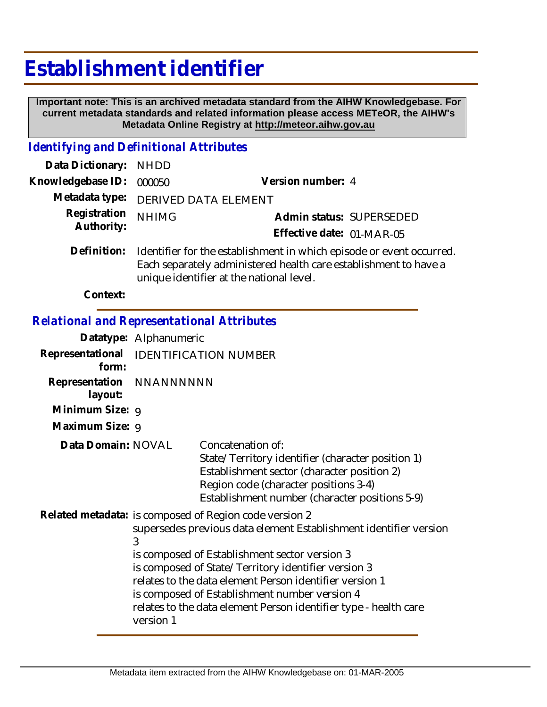# **Establishment identifier**

 **Important note: This is an archived metadata standard from the AIHW Knowledgebase. For current metadata standards and related information please access METeOR, the AIHW's Metadata Online Registry at http://meteor.aihw.gov.au**

### *Identifying and Definitional Attributes*

| Data Dictionary: NHDD |                                                                                                                                                                                      |                           |  |
|-----------------------|--------------------------------------------------------------------------------------------------------------------------------------------------------------------------------------|---------------------------|--|
| Knowledgebase ID:     | 000050                                                                                                                                                                               | Version number: 4         |  |
|                       | Metadata type: DERIVED DATA ELEMENT                                                                                                                                                  |                           |  |
| Registration          | <b>NHIMG</b>                                                                                                                                                                         | Admin status: SUPERSEDED  |  |
| Authority:            |                                                                                                                                                                                      | Effective date: 01-MAR-05 |  |
| Definition:           | Identifier for the establishment in which episode or event occurred.<br>Each separately administered health care establishment to have a<br>unique identifier at the national level. |                           |  |

**Context:**

## *Relational and Representational Attributes*

|                                     | Datatype: Alphanumeric                                                                                                                                                                                                                                                                                                                                                                                                                |                                                                                                                                                                                                                  |  |
|-------------------------------------|---------------------------------------------------------------------------------------------------------------------------------------------------------------------------------------------------------------------------------------------------------------------------------------------------------------------------------------------------------------------------------------------------------------------------------------|------------------------------------------------------------------------------------------------------------------------------------------------------------------------------------------------------------------|--|
| form:                               | Representational IDENTIFICATION NUMBER                                                                                                                                                                                                                                                                                                                                                                                                |                                                                                                                                                                                                                  |  |
| Representation NNANNNNNN<br>layout: |                                                                                                                                                                                                                                                                                                                                                                                                                                       |                                                                                                                                                                                                                  |  |
| Minimum Size: 9                     |                                                                                                                                                                                                                                                                                                                                                                                                                                       |                                                                                                                                                                                                                  |  |
| Maximum Size: 9                     |                                                                                                                                                                                                                                                                                                                                                                                                                                       |                                                                                                                                                                                                                  |  |
| Data Domain: NOVAL                  |                                                                                                                                                                                                                                                                                                                                                                                                                                       | Concatenation of:<br>State/Territory identifier (character position 1)<br>Establishment sector (character position 2)<br>Region code (character positions 3-4)<br>Establishment number (character positions 5-9) |  |
|                                     | Related metadata: is composed of Region code version 2<br>supersedes previous data element Establishment identifier version<br>3<br>is composed of Establishment sector version 3<br>is composed of State/Territory identifier version 3<br>relates to the data element Person identifier version 1<br>is composed of Establishment number version 4<br>relates to the data element Person identifier type - health care<br>version 1 |                                                                                                                                                                                                                  |  |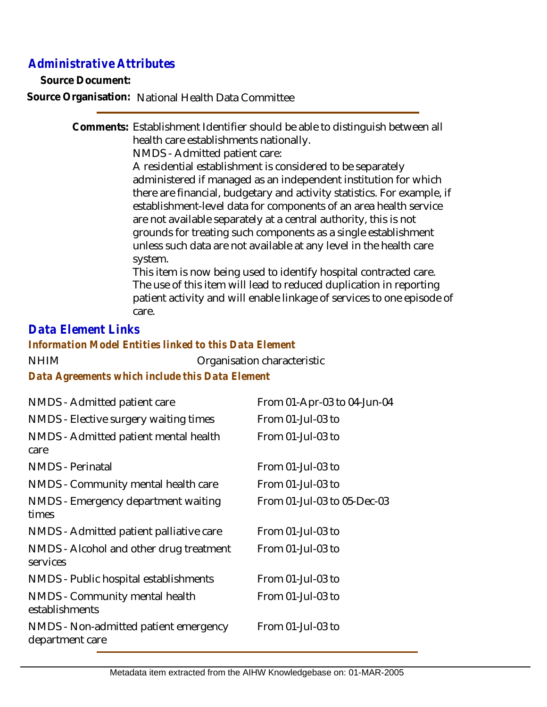# *Administrative Attributes*

**Source Document:**

**Source Organisation:** National Health Data Committee

Comments: Establishment Identifier should be able to distinguish between all health care establishments nationally.

NMDS - Admitted patient care:

A residential establishment is considered to be separately administered if managed as an independent institution for which there are financial, budgetary and activity statistics. For example, if establishment-level data for components of an area health service are not available separately at a central authority, this is not grounds for treating such components as a single establishment unless such data are not available at any level in the health care system.

This item is now being used to identify hospital contracted care. The use of this item will lead to reduced duplication in reporting patient activity and will enable linkage of services to one episode of care.

#### *Data Element Links*

#### *Information Model Entities linked to this Data Element*

NHIM Organisation characteristic *Data Agreements which include this Data Element*

| NMDS - Admitted patient care                             | From 01-Apr-03 to 04-Jun-04 |
|----------------------------------------------------------|-----------------------------|
| NMDS - Elective surgery waiting times                    | From $01$ -Jul-03 to        |
| NMDS - Admitted patient mental health<br>care            | From 01-Jul-03 to           |
| <b>NMDS</b> - Perinatal                                  | From $01$ -Jul-03 to        |
| NMDS - Community mental health care                      | From $01$ -Jul-03 to        |
| NMDS - Emergency department waiting<br>times             | From 01-Jul-03 to 05-Dec-03 |
| NMDS - Admitted patient palliative care                  | From 01-Jul-03 to           |
| NMDS - Alcohol and other drug treatment<br>services      | From 01-Jul-03 to           |
| NMDS - Public hospital establishments                    | From 01-Jul-03 to           |
| NMDS - Community mental health<br>establishments         | From 01-Jul-03 to           |
| NMDS - Non-admitted patient emergency<br>department care | From 01-Jul-03 to           |